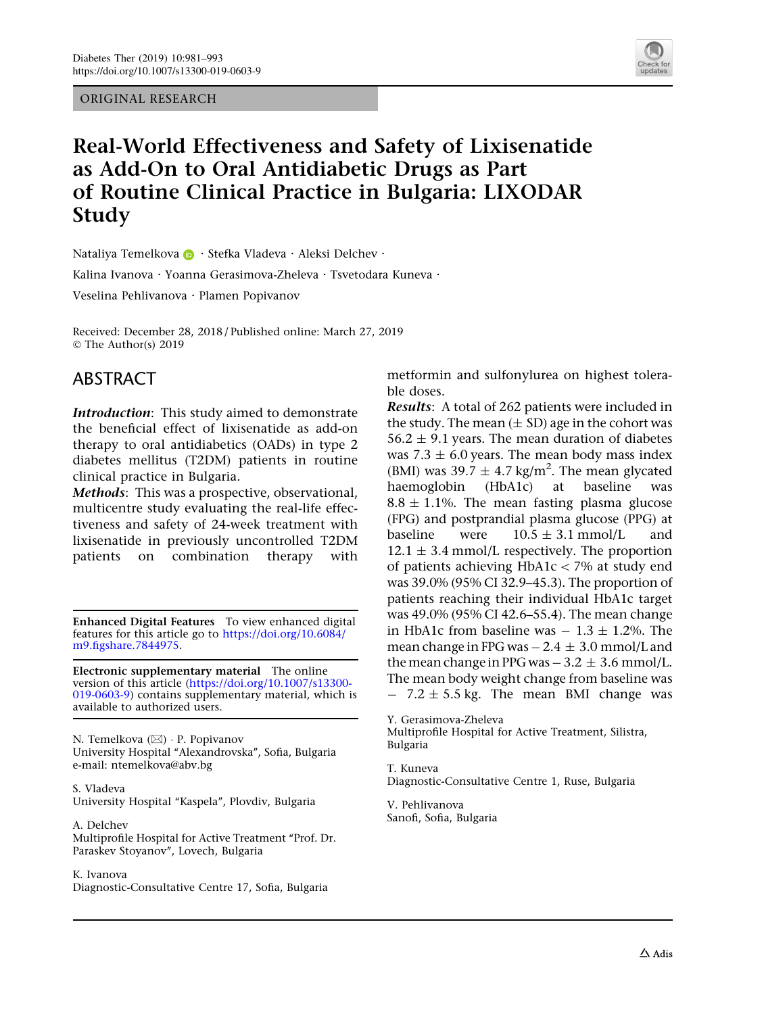ORIGINAL RESEARCH



# Real-World Effectiveness and Safety of Lixisenatide as Add-On to Oral Antidiabetic Drugs as Part of Routine Clinical Practice in Bulgaria: LIXODAR Study

Nataliya Temelkova **D** · Stefka Vladeva · Aleksi Delchev ·

Kalina Ivanova · Yoanna Gerasimova-Zheleva · Tsvetodara Kuneva ·

Veselina Pehlivanova . Plamen Popivanov

Received: December 28, 2018 / Published online: March 27, 2019 © The Author(s) 2019

### ABSTRACT

Introduction: This study aimed to demonstrate the beneficial effect of lixisenatide as add-on therapy to oral antidiabetics (OADs) in type 2 diabetes mellitus (T2DM) patients in routine clinical practice in Bulgaria.

Methods: This was a prospective, observational, multicentre study evaluating the real-life effectiveness and safety of 24-week treatment with lixisenatide in previously uncontrolled T2DM patients on combination therapy with

Enhanced Digital Features To view enhanced digital features for this article go to [https://doi.org/10.6084/](https://doi.org/10.6084/m9.figshare.7844975) [m9.figshare.7844975.](https://doi.org/10.6084/m9.figshare.7844975)

Electronic supplementary material The online version of this article ([https://doi.org/10.1007/s13300-](https://doi.org/10.1007/s13300-019-0603-9) [019-0603-9](https://doi.org/10.1007/s13300-019-0603-9)) contains supplementary material, which is available to authorized users.

N. Temelkova (&) - P. Popivanov University Hospital ''Alexandrovska'', Sofia, Bulgaria e-mail: ntemelkova@abv.bg

S. Vladeva University Hospital ''Kaspela'', Plovdiv, Bulgaria

A. Delchev Multiprofile Hospital for Active Treatment ''Prof. Dr. Paraskev Stoyanov'', Lovech, Bulgaria

K. Ivanova

Diagnostic-Consultative Centre 17, Sofia, Bulgaria

metformin and sulfonylurea on highest tolerable doses.

Results: A total of 262 patients were included in the study. The mean  $(\pm SD)$  age in the cohort was  $56.2 \pm 9.1$  years. The mean duration of diabetes was  $7.3 \pm 6.0$  years. The mean body mass index (BMI) was  $39.7 \pm 4.7$  kg/m<sup>2</sup>. The mean glycated haemoglobin (HbA1c) at baseline was  $8.8 \pm 1.1$ %. The mean fasting plasma glucose (FPG) and postprandial plasma glucose (PPG) at baseline were  $10.5 \pm 3.1$  mmol/L and  $12.1 \pm 3.4$  mmol/L respectively. The proportion of patients achieving  $HbA1c\lt7%$  at study end was 39.0% (95% CI 32.9–45.3). The proportion of patients reaching their individual HbA1c target was 49.0% (95% CI 42.6–55.4). The mean change in HbA1c from baseline was  $-1.3 \pm 1.2$ %. The mean change in FPG was  $-2.4 \pm 3.0$  mmol/L and the mean change in PPG was  $-3.2 \pm 3.6$  mmol/L. The mean body weight change from baseline was  $- 7.2 \pm 5.5$  kg. The mean BMI change was

Y. Gerasimova-Zheleva Multiprofile Hospital for Active Treatment, Silistra, Bulgaria

T. Kuneva Diagnostic-Consultative Centre 1, Ruse, Bulgaria

V. Pehlivanova Sanofi, Sofia, Bulgaria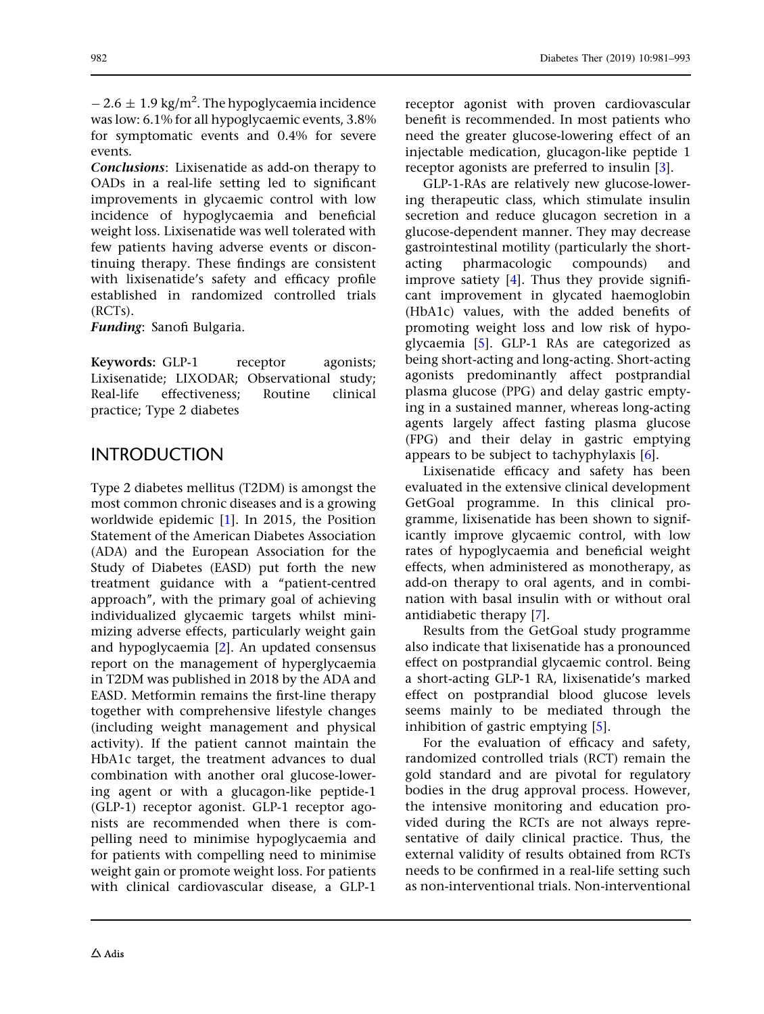$-2.6 \pm 1.9$  kg/m<sup>2</sup>. The hypoglycaemia incidence was low: 6.1% for all hypoglycaemic events, 3.8% for symptomatic events and 0.4% for severe events.

Conclusions: Lixisenatide as add-on therapy to OADs in a real-life setting led to significant improvements in glycaemic control with low incidence of hypoglycaemia and beneficial weight loss. Lixisenatide was well tolerated with few patients having adverse events or discontinuing therapy. These findings are consistent with lixisenatide's safety and efficacy profile established in randomized controlled trials (RCTs).

Funding: Sanofi Bulgaria.

Keywords: GLP-1 receptor agonists; Lixisenatide; LIXODAR; Observational study; Real-life effectiveness; Routine clinical practice; Type 2 diabetes

# INTRODUCTION

Type 2 diabetes mellitus (T2DM) is amongst the most common chronic diseases and is a growing worldwide epidemic [[1](#page-11-0)]. In 2015, the Position Statement of the American Diabetes Association (ADA) and the European Association for the Study of Diabetes (EASD) put forth the new treatment guidance with a ''patient-centred approach'', with the primary goal of achieving individualized glycaemic targets whilst minimizing adverse effects, particularly weight gain and hypoglycaemia [[2](#page-11-0)]. An updated consensus report on the management of hyperglycaemia in T2DM was published in 2018 by the ADA and EASD. Metformin remains the first-line therapy together with comprehensive lifestyle changes (including weight management and physical activity). If the patient cannot maintain the HbA1c target, the treatment advances to dual combination with another oral glucose-lowering agent or with a glucagon-like peptide-1 (GLP-1) receptor agonist. GLP-1 receptor agonists are recommended when there is compelling need to minimise hypoglycaemia and for patients with compelling need to minimise weight gain or promote weight loss. For patients with clinical cardiovascular disease, a GLP-1 receptor agonist with proven cardiovascular benefit is recommended. In most patients who need the greater glucose-lowering effect of an injectable medication, glucagon-like peptide 1 receptor agonists are preferred to insulin [[3\]](#page-11-0).

GLP-1-RAs are relatively new glucose-lowering therapeutic class, which stimulate insulin secretion and reduce glucagon secretion in a glucose-dependent manner. They may decrease gastrointestinal motility (particularly the shortacting pharmacologic compounds) and improve satiety [[4](#page-11-0)]. Thus they provide significant improvement in glycated haemoglobin (HbA1c) values, with the added benefits of promoting weight loss and low risk of hypoglycaemia [[5](#page-11-0)]. GLP-1 RAs are categorized as being short-acting and long-acting. Short-acting agonists predominantly affect postprandial plasma glucose (PPG) and delay gastric emptying in a sustained manner, whereas long-acting agents largely affect fasting plasma glucose (FPG) and their delay in gastric emptying appears to be subject to tachyphylaxis [\[6](#page-11-0)].

Lixisenatide efficacy and safety has been evaluated in the extensive clinical development GetGoal programme. In this clinical programme, lixisenatide has been shown to significantly improve glycaemic control, with low rates of hypoglycaemia and beneficial weight effects, when administered as monotherapy, as add-on therapy to oral agents, and in combination with basal insulin with or without oral antidiabetic therapy [\[7\]](#page-11-0).

Results from the GetGoal study programme also indicate that lixisenatide has a pronounced effect on postprandial glycaemic control. Being a short-acting GLP-1 RA, lixisenatide's marked effect on postprandial blood glucose levels seems mainly to be mediated through the inhibition of gastric emptying [[5](#page-11-0)].

For the evaluation of efficacy and safety, randomized controlled trials (RCT) remain the gold standard and are pivotal for regulatory bodies in the drug approval process. However, the intensive monitoring and education provided during the RCTs are not always representative of daily clinical practice. Thus, the external validity of results obtained from RCTs needs to be confirmed in a real-life setting such as non-interventional trials. Non-interventional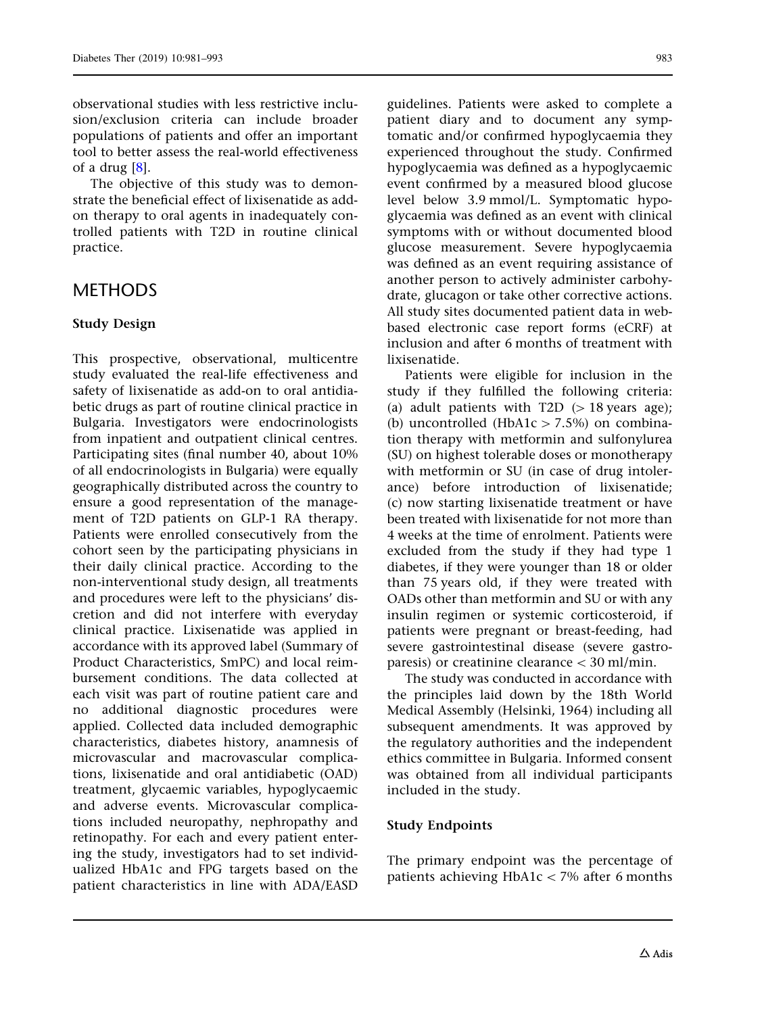observational studies with less restrictive inclusion/exclusion criteria can include broader populations of patients and offer an important tool to better assess the real-world effectiveness of a drug [[8\]](#page-11-0).

The objective of this study was to demonstrate the beneficial effect of lixisenatide as addon therapy to oral agents in inadequately controlled patients with T2D in routine clinical practice.

### **METHODS**

#### Study Design

This prospective, observational, multicentre study evaluated the real-life effectiveness and safety of lixisenatide as add-on to oral antidiabetic drugs as part of routine clinical practice in Bulgaria. Investigators were endocrinologists from inpatient and outpatient clinical centres. Participating sites (final number 40, about 10% of all endocrinologists in Bulgaria) were equally geographically distributed across the country to ensure a good representation of the management of T2D patients on GLP-1 RA therapy. Patients were enrolled consecutively from the cohort seen by the participating physicians in their daily clinical practice. According to the non-interventional study design, all treatments and procedures were left to the physicians' discretion and did not interfere with everyday clinical practice. Lixisenatide was applied in accordance with its approved label (Summary of Product Characteristics, SmPC) and local reimbursement conditions. The data collected at each visit was part of routine patient care and no additional diagnostic procedures were applied. Collected data included demographic characteristics, diabetes history, anamnesis of microvascular and macrovascular complications, lixisenatide and oral antidiabetic (OAD) treatment, glycaemic variables, hypoglycaemic and adverse events. Microvascular complications included neuropathy, nephropathy and retinopathy. For each and every patient entering the study, investigators had to set individualized HbA1c and FPG targets based on the patient characteristics in line with ADA/EASD

guidelines. Patients were asked to complete a patient diary and to document any symptomatic and/or confirmed hypoglycaemia they experienced throughout the study. Confirmed hypoglycaemia was defined as a hypoglycaemic event confirmed by a measured blood glucose level below 3.9 mmol/L. Symptomatic hypoglycaemia was defined as an event with clinical symptoms with or without documented blood glucose measurement. Severe hypoglycaemia was defined as an event requiring assistance of another person to actively administer carbohydrate, glucagon or take other corrective actions. All study sites documented patient data in webbased electronic case report forms (eCRF) at inclusion and after 6 months of treatment with lixisenatide.

Patients were eligible for inclusion in the study if they fulfilled the following criteria: (a) adult patients with T2D  $(> 18$  years age); (b) uncontrolled (HbA1c  $> 7.5\%$ ) on combination therapy with metformin and sulfonylurea (SU) on highest tolerable doses or monotherapy with metformin or SU (in case of drug intolerance) before introduction of lixisenatide; (c) now starting lixisenatide treatment or have been treated with lixisenatide for not more than 4 weeks at the time of enrolment. Patients were excluded from the study if they had type 1 diabetes, if they were younger than 18 or older than 75 years old, if they were treated with OADs other than metformin and SU or with any insulin regimen or systemic corticosteroid, if patients were pregnant or breast-feeding, had severe gastrointestinal disease (severe gastroparesis) or creatinine clearance  $\langle 30 \text{ ml/min.} \rangle$ 

The study was conducted in accordance with the principles laid down by the 18th World Medical Assembly (Helsinki, 1964) including all subsequent amendments. It was approved by the regulatory authorities and the independent ethics committee in Bulgaria. Informed consent was obtained from all individual participants included in the study.

### Study Endpoints

The primary endpoint was the percentage of patients achieving  $HbA1c < 7%$  after 6 months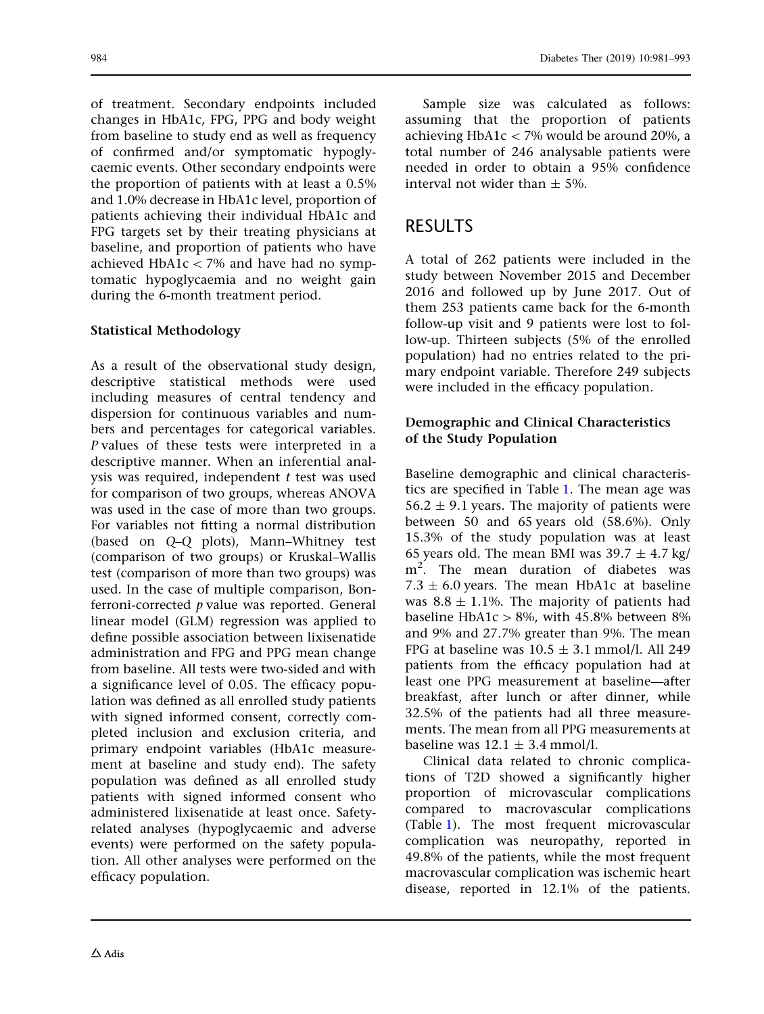of treatment. Secondary endpoints included changes in HbA1c, FPG, PPG and body weight from baseline to study end as well as frequency of confirmed and/or symptomatic hypoglycaemic events. Other secondary endpoints were the proportion of patients with at least a 0.5% and 1.0% decrease in HbA1c level, proportion of patients achieving their individual HbA1c and FPG targets set by their treating physicians at baseline, and proportion of patients who have achieved HbA1c  $<$  7% and have had no symptomatic hypoglycaemia and no weight gain during the 6-month treatment period.

### Statistical Methodology

As a result of the observational study design, descriptive statistical methods were used including measures of central tendency and dispersion for continuous variables and numbers and percentages for categorical variables. P values of these tests were interpreted in a descriptive manner. When an inferential analysis was required, independent  $t$  test was used for comparison of two groups, whereas ANOVA was used in the case of more than two groups. For variables not fitting a normal distribution (based on Q–Q plots), Mann–Whitney test (comparison of two groups) or Kruskal–Wallis test (comparison of more than two groups) was used. In the case of multiple comparison, Bonferroni-corrected  $p$  value was reported. General linear model (GLM) regression was applied to define possible association between lixisenatide administration and FPG and PPG mean change from baseline. All tests were two-sided and with a significance level of 0.05. The efficacy population was defined as all enrolled study patients with signed informed consent, correctly completed inclusion and exclusion criteria, and primary endpoint variables (HbA1c measurement at baseline and study end). The safety population was defined as all enrolled study patients with signed informed consent who administered lixisenatide at least once. Safetyrelated analyses (hypoglycaemic and adverse events) were performed on the safety population. All other analyses were performed on the efficacy population.

Sample size was calculated as follows: assuming that the proportion of patients achieving HbA1c  $<$  7% would be around 20%, a total number of 246 analysable patients were needed in order to obtain a 95% confidence interval not wider than  $\pm$  5%.

### RESULTS

A total of 262 patients were included in the study between November 2015 and December 2016 and followed up by June 2017. Out of them 253 patients came back for the 6-month follow-up visit and 9 patients were lost to follow-up. Thirteen subjects (5% of the enrolled population) had no entries related to the primary endpoint variable. Therefore 249 subjects were included in the efficacy population.

### Demographic and Clinical Characteristics of the Study Population

Baseline demographic and clinical characteristics are specified in Table [1](#page-4-0). The mean age was  $56.2 \pm 9.1$  years. The majority of patients were between 50 and 65 years old (58.6%). Only 15.3% of the study population was at least 65 years old. The mean BMI was  $39.7 \pm 4.7$  kg/ m<sup>2</sup> . The mean duration of diabetes was  $7.3 \pm 6.0$  years. The mean HbA1c at baseline was  $8.8 \pm 1.1$ %. The majority of patients had baseline HbA1c  $> 8\%$ , with 45.8% between 8% and 9% and 27.7% greater than 9%. The mean FPG at baseline was  $10.5 \pm 3.1$  mmol/l. All 249 patients from the efficacy population had at least one PPG measurement at baseline—after breakfast, after lunch or after dinner, while 32.5% of the patients had all three measurements. The mean from all PPG measurements at baseline was  $12.1 \pm 3.4$  mmol/l.

Clinical data related to chronic complications of T2D showed a significantly higher proportion of microvascular complications compared to macrovascular complications (Table [1\)](#page-4-0). The most frequent microvascular complication was neuropathy, reported in 49.8% of the patients, while the most frequent macrovascular complication was ischemic heart disease, reported in 12.1% of the patients.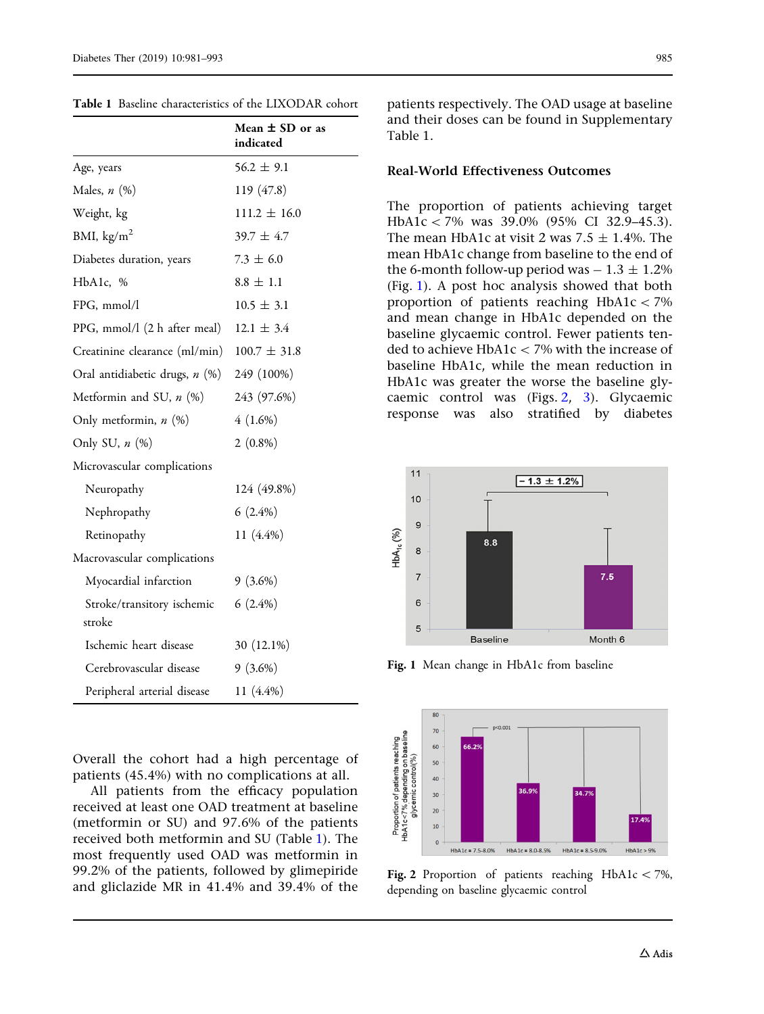|                                      | Mean $\pm$ SD or as<br>indicated |
|--------------------------------------|----------------------------------|
| Age, years                           | $56.2 \pm 9.1$                   |
| Males, $n$ $(\%)$                    | 119 (47.8)                       |
| Weight, kg                           | $111.2 \pm 16.0$                 |
| BMI, $\text{kg/m}^2$                 | $39.7 \pm 4.7$                   |
| Diabetes duration, years             | $7.3 \pm 6.0$                    |
| HbA1c, %                             | $8.8 \pm 1.1$                    |
| FPG, mmol/l                          | $10.5 \pm 3.1$                   |
| PPG, mmol/l (2 h after meal)         | $12.1 \pm 3.4$                   |
| Creatinine clearance (ml/min)        | $100.7 \pm 31.8$                 |
| Oral antidiabetic drugs, n (%)       | 249 (100%)                       |
| Metformin and SU, $n$ $(\%)$         | 243 (97.6%)                      |
| Only metformin, n (%)                | 4(1.6%)                          |
| Only SU, $n$ $(\%)$                  | $2(0.8\%)$                       |
| Microvascular complications          |                                  |
| Neuropathy                           | 124 (49.8%)                      |
| Nephropathy                          | $6(2.4\%)$                       |
| Retinopathy                          | 11 (4.4%)                        |
| Macrovascular complications          |                                  |
| Myocardial infarction                | $9(3.6\%)$                       |
| Stroke/transitory ischemic<br>stroke | $6(2.4\%)$                       |
| Ischemic heart disease               | 30 (12.1%)                       |
| Cerebrovascular disease              | $9(3.6\%)$                       |
| Peripheral arterial disease          | 11 (4.4%)                        |

<span id="page-4-0"></span>Table 1 Baseline characteristics of the LIXODAR cohort

Overall the cohort had a high percentage of patients (45.4%) with no complications at all.

All patients from the efficacy population received at least one OAD treatment at baseline (metformin or SU) and 97.6% of the patients received both metformin and SU (Table 1). The most frequently used OAD was metformin in 99.2% of the patients, followed by glimepiride and gliclazide MR in 41.4% and 39.4% of the patients respectively. The OAD usage at baseline and their doses can be found in Supplementary Table 1.

#### Real-World Effectiveness Outcomes

The proportion of patients achieving target HbA1c < 7% was 39.0% (95% CI 32.9–45.3). The mean HbA1c at visit 2 was  $7.5 \pm 1.4$ %. The mean HbA1c change from baseline to the end of the 6-month follow-up period was  $-1.3 \pm 1.2\%$ (Fig. 1). A post hoc analysis showed that both proportion of patients reaching  $HbA1c\ 7\%$ and mean change in HbA1c depended on the baseline glycaemic control. Fewer patients tended to achieve HbA1c  $<$  7% with the increase of baseline HbA1c, while the mean reduction in HbA1c was greater the worse the baseline glycaemic control was (Figs. 2, [3](#page-5-0)). Glycaemic response was also stratified by diabetes



Fig. 1 Mean change in HbA1c from baseline



Fig. 2 Proportion of patients reaching HbA1c  $\lt$  7%, depending on baseline glycaemic control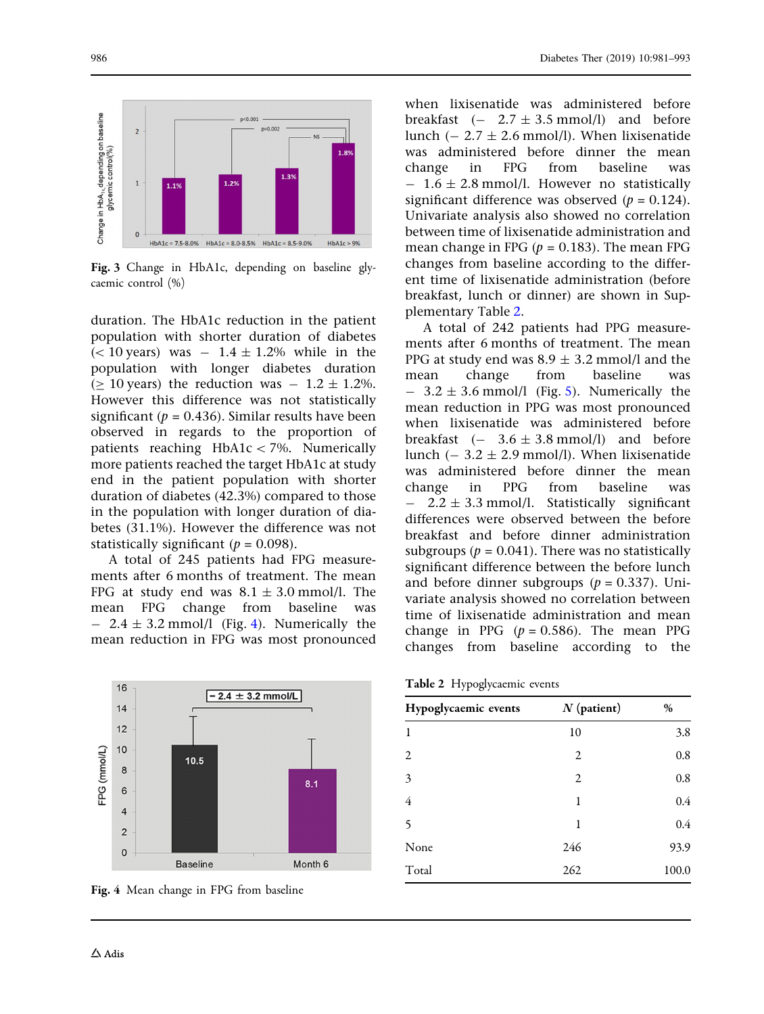<span id="page-5-0"></span>

Fig. 3 Change in HbA1c, depending on baseline glycaemic control (%)

duration. The HbA1c reduction in the patient population with shorter duration of diabetes  $(< 10$  years) was  $- 1.4 \pm 1.2$ % while in the population with longer diabetes duration ( $\geq$  10 years) the reduction was  $-1.2 \pm 1.2$ %. However this difference was not statistically significant ( $p = 0.436$ ). Similar results have been observed in regards to the proportion of patients reaching  $HbA1c\lt 7%$ . Numerically more patients reached the target HbA1c at study end in the patient population with shorter duration of diabetes (42.3%) compared to those in the population with longer duration of diabetes (31.1%). However the difference was not statistically significant ( $p = 0.098$ ).

A total of 245 patients had FPG measurements after 6 months of treatment. The mean FPG at study end was  $8.1 \pm 3.0$  mmol/l. The mean FPG change from baseline was  $-$  2.4  $\pm$  3.2 mmol/l (Fig. 4). Numerically the mean reduction in FPG was most pronounced



Fig. 4 Mean change in FPG from baseline

when lixisenatide was administered before breakfast  $(-2.7 \pm 3.5 \text{ mmol/l})$  and before lunch  $(-2.7 \pm 2.6 \text{ mmol/l})$ . When lixisenatide was administered before dinner the mean change in FPG from baseline was  $- 1.6 \pm 2.8$  mmol/l. However no statistically significant difference was observed  $(p = 0.124)$ . Univariate analysis also showed no correlation between time of lixisenatide administration and mean change in FPG ( $p = 0.183$ ). The mean FPG changes from baseline according to the different time of lixisenatide administration (before breakfast, lunch or dinner) are shown in Supplementary Table 2.

A total of 242 patients had PPG measurements after 6 months of treatment. The mean PPG at study end was  $8.9 + 3.2$  mmol/l and the mean change from baseline was  $3.2 \pm 3.6$  mmol/l (Fig. [5](#page-6-0)). Numerically the mean reduction in PPG was most pronounced when lixisenatide was administered before breakfast  $(- 3.6 \pm 3.8 \text{ mmol/l})$  and before lunch  $(-3.2 \pm 2.9 \text{ mmol/l})$ . When lixisenatide was administered before dinner the mean change in PPG from baseline was  $2.2 \pm 3.3$  mmol/l. Statistically significant differences were observed between the before breakfast and before dinner administration subgroups ( $p = 0.041$ ). There was no statistically significant difference between the before lunch and before dinner subgroups ( $p = 0.337$ ). Univariate analysis showed no correlation between time of lixisenatide administration and mean change in PPG  $(p = 0.586)$ . The mean PPG changes from baseline according to the

Table 2 Hypoglycaemic events

| Hypoglycaemic events | $N$ (patient) | $\%$  |
|----------------------|---------------|-------|
| 1                    | 10            | 3.8   |
| 2                    | 2             | 0.8   |
| 3                    | 2             | 0.8   |
| 4                    | 1             | 0.4   |
| 5                    | 1             | 0.4   |
| None                 | 246           | 93.9  |
| Total                | 262           | 100.0 |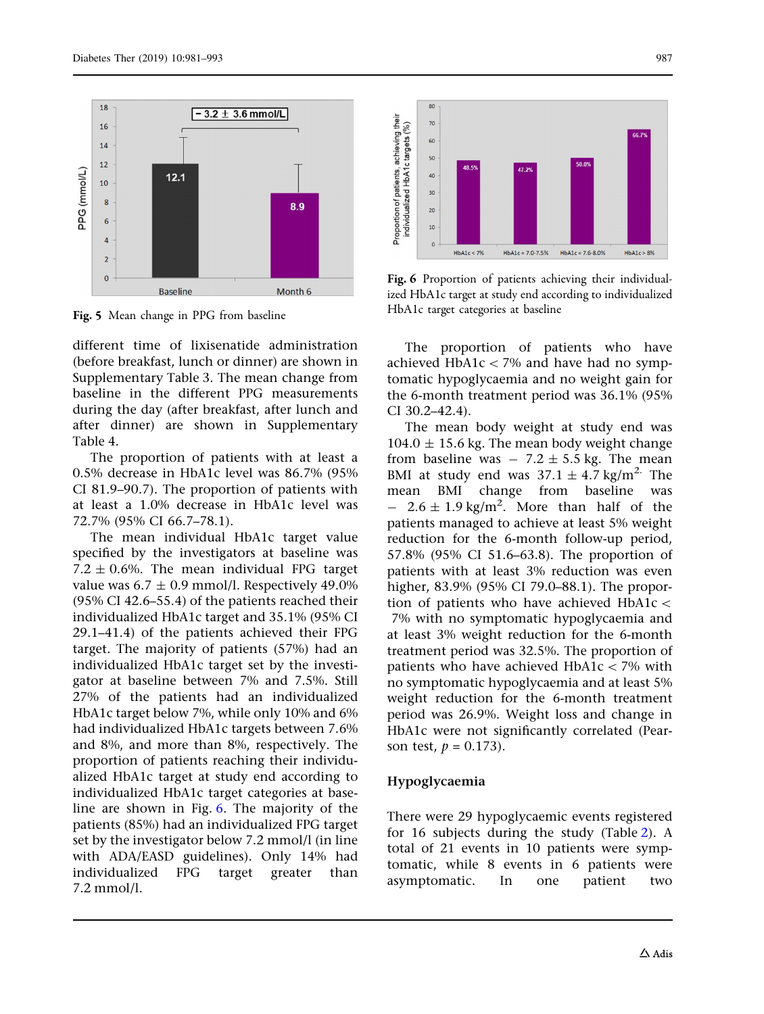<span id="page-6-0"></span>

Fig. 5 Mean change in PPG from baseline

different time of lixisenatide administration (before breakfast, lunch or dinner) are shown in Supplementary Table 3. The mean change from baseline in the different PPG measurements during the day (after breakfast, after lunch and after dinner) are shown in Supplementary Table 4.

The proportion of patients with at least a 0.5% decrease in HbA1c level was 86.7% (95% CI 81.9–90.7). The proportion of patients with at least a 1.0% decrease in HbA1c level was 72.7% (95% CI 66.7–78.1).

The mean individual HbA1c target value specified by the investigators at baseline was 7.2  $\pm$  0.6%. The mean individual FPG target value was  $6.7 \pm 0.9$  mmol/l. Respectively 49.0% (95% CI 42.6–55.4) of the patients reached their individualized HbA1c target and 35.1% (95% CI 29.1–41.4) of the patients achieved their FPG target. The majority of patients (57%) had an individualized HbA1c target set by the investigator at baseline between 7% and 7.5%. Still 27% of the patients had an individualized HbA1c target below 7%, while only 10% and 6% had individualized HbA1c targets between 7.6% and 8%, and more than 8%, respectively. The proportion of patients reaching their individualized HbA1c target at study end according to individualized HbA1c target categories at baseline are shown in Fig. 6. The majority of the patients (85%) had an individualized FPG target set by the investigator below 7.2 mmol/l (in line with ADA/EASD guidelines). Only 14% had individualized FPG target greater than 7.2 mmol/l.



Fig. 6 Proportion of patients achieving their individualized HbA1c target at study end according to individualized HbA1c target categories at baseline

The proportion of patients who have achieved  $HbA1c < 7%$  and have had no symptomatic hypoglycaemia and no weight gain for the 6-month treatment period was 36.1% (95% CI 30.2–42.4).

The mean body weight at study end was  $104.0 \pm 15.6$  kg. The mean body weight change from baseline was  $-7.2 \pm 5.5$  kg. The mean BMI at study end was  $37.1 \pm 4.7$  kg/m<sup>2</sup>. The mean BMI change from baseline was  $-$  2.6  $\pm$  1.9 kg/m<sup>2</sup>. More than half of the patients managed to achieve at least 5% weight reduction for the 6-month follow-up period, 57.8% (95% CI 51.6–63.8). The proportion of patients with at least 3% reduction was even higher, 83.9% (95% CI 79.0–88.1). The proportion of patients who have achieved  $HbA1c <$ 7% with no symptomatic hypoglycaemia and at least 3% weight reduction for the 6-month treatment period was 32.5%. The proportion of patients who have achieved  $HbA1c < 7%$  with no symptomatic hypoglycaemia and at least 5% weight reduction for the 6-month treatment period was 26.9%. Weight loss and change in HbA1c were not significantly correlated (Pearson test,  $p = 0.173$ ).

#### Hypoglycaemia

There were 29 hypoglycaemic events registered for 16 subjects during the study (Table [2\)](#page-5-0). A total of 21 events in 10 patients were symptomatic, while 8 events in 6 patients were asymptomatic. In one patient two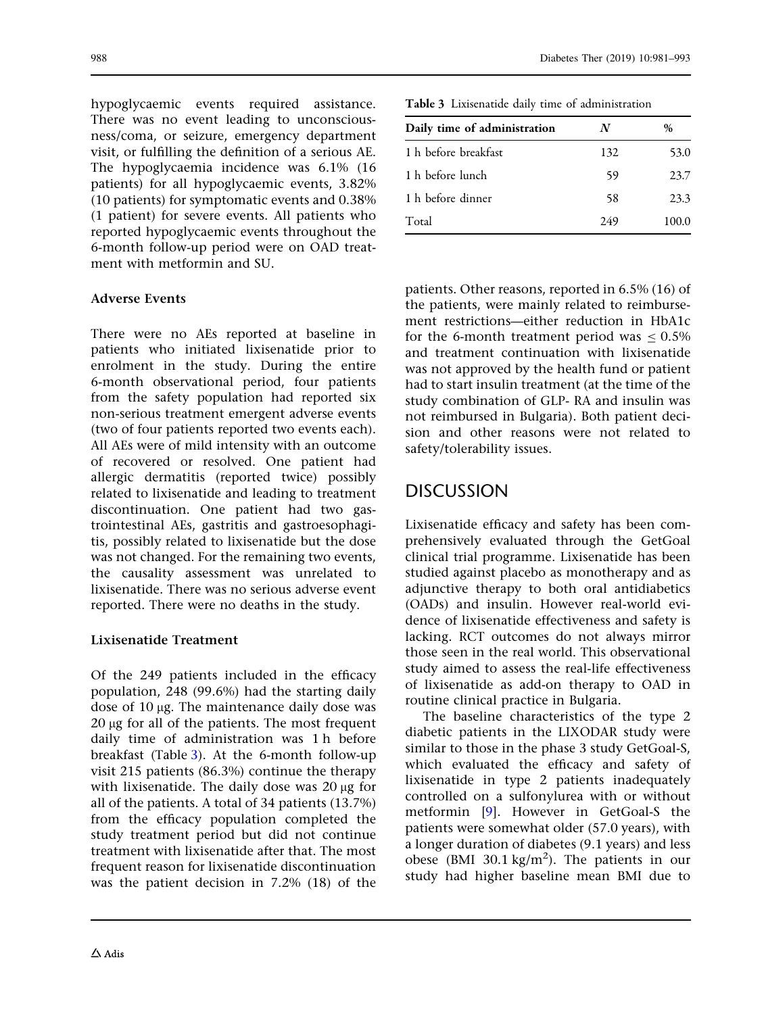hypoglycaemic events required assistance. There was no event leading to unconsciousness/coma, or seizure, emergency department visit, or fulfilling the definition of a serious AE. The hypoglycaemia incidence was 6.1% (16 patients) for all hypoglycaemic events, 3.82% (10 patients) for symptomatic events and 0.38% (1 patient) for severe events. All patients who reported hypoglycaemic events throughout the 6-month follow-up period were on OAD treatment with metformin and SU.

### Adverse Events

There were no AEs reported at baseline in patients who initiated lixisenatide prior to enrolment in the study. During the entire 6-month observational period, four patients from the safety population had reported six non-serious treatment emergent adverse events (two of four patients reported two events each). All AEs were of mild intensity with an outcome of recovered or resolved. One patient had allergic dermatitis (reported twice) possibly related to lixisenatide and leading to treatment discontinuation. One patient had two gastrointestinal AEs, gastritis and gastroesophagitis, possibly related to lixisenatide but the dose was not changed. For the remaining two events, the causality assessment was unrelated to lixisenatide. There was no serious adverse event reported. There were no deaths in the study.

### Lixisenatide Treatment

Of the 249 patients included in the efficacy population, 248 (99.6%) had the starting daily dose of  $10 \mu$ g. The maintenance daily dose was  $20 \mu$ g for all of the patients. The most frequent daily time of administration was 1 h before breakfast (Table 3). At the 6-month follow-up visit 215 patients (86.3%) continue the therapy with lixisenatide. The daily dose was  $20 \mu$ g for all of the patients. A total of 34 patients (13.7%) from the efficacy population completed the study treatment period but did not continue treatment with lixisenatide after that. The most frequent reason for lixisenatide discontinuation was the patient decision in 7.2% (18) of the

Table 3 Lixisenatide daily time of administration

| Daily time of administration    | N   | %     |
|---------------------------------|-----|-------|
| 1 <sub>h</sub> before breakfast | 132 | 53.0  |
| 1 h before lunch                | 59  | 23.7  |
| 1 h before dinner               | 58  | 23.3  |
| Total                           | 249 | 100.0 |

patients. Other reasons, reported in 6.5% (16) of the patients, were mainly related to reimbursement restrictions—either reduction in HbA1c for the 6-month treatment period was  $\le 0.5\%$ and treatment continuation with lixisenatide was not approved by the health fund or patient had to start insulin treatment (at the time of the study combination of GLP- RA and insulin was not reimbursed in Bulgaria). Both patient decision and other reasons were not related to safety/tolerability issues.

# DISCUSSION

Lixisenatide efficacy and safety has been comprehensively evaluated through the GetGoal clinical trial programme. Lixisenatide has been studied against placebo as monotherapy and as adjunctive therapy to both oral antidiabetics (OADs) and insulin. However real-world evidence of lixisenatide effectiveness and safety is lacking. RCT outcomes do not always mirror those seen in the real world. This observational study aimed to assess the real-life effectiveness of lixisenatide as add-on therapy to OAD in routine clinical practice in Bulgaria.

The baseline characteristics of the type 2 diabetic patients in the LIXODAR study were similar to those in the phase 3 study GetGoal-S, which evaluated the efficacy and safety of lixisenatide in type 2 patients inadequately controlled on a sulfonylurea with or without metformin [[9](#page-11-0)]. However in GetGoal-S the patients were somewhat older (57.0 years), with a longer duration of diabetes (9.1 years) and less obese (BMI 30.1 kg/m<sup>2</sup>). The patients in our study had higher baseline mean BMI due to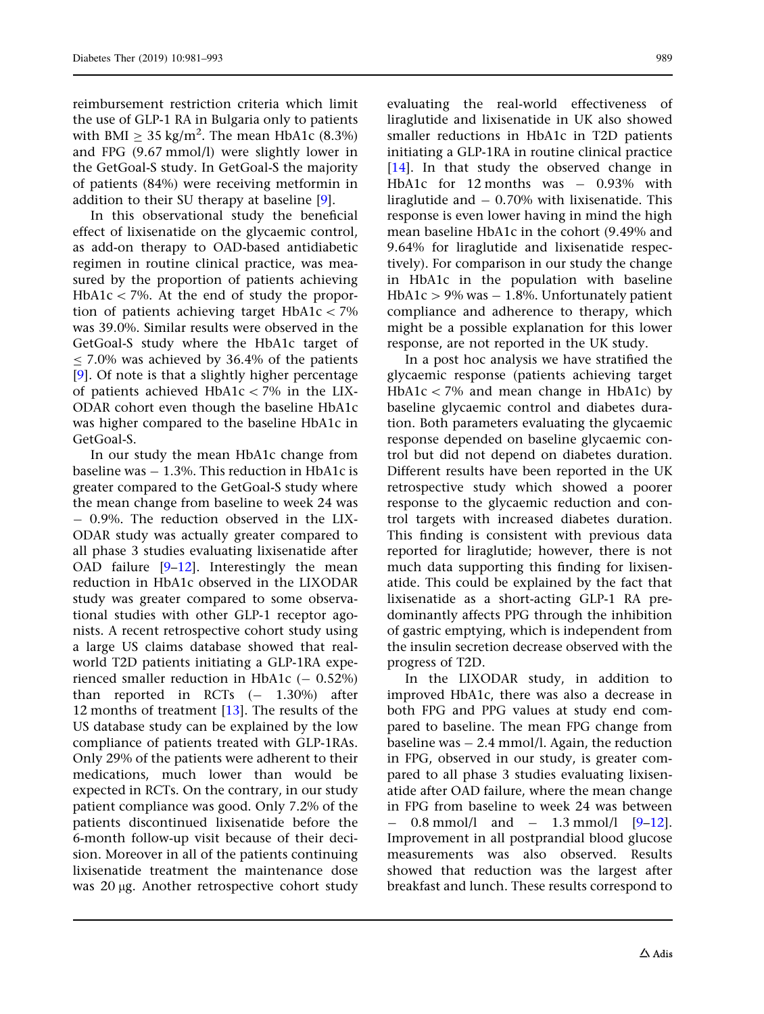reimbursement restriction criteria which limit the use of GLP-1 RA in Bulgaria only to patients with BMI  $\geq 35$  kg/m<sup>2</sup>. The mean HbA1c (8.3%) and FPG (9.67 mmol/l) were slightly lower in the GetGoal-S study. In GetGoal-S the majority of patients (84%) were receiving metformin in addition to their SU therapy at baseline [[9\]](#page-11-0).

In this observational study the beneficial effect of lixisenatide on the glycaemic control, as add-on therapy to OAD-based antidiabetic regimen in routine clinical practice, was measured by the proportion of patients achieving  $HbA1c < 7\%$ . At the end of study the proportion of patients achieving target  $HbA1c\ 7\%$ was 39.0%. Similar results were observed in the GetGoal-S study where the HbA1c target of  $<$  7.0% was achieved by 36.4% of the patients [\[9\]](#page-11-0). Of note is that a slightly higher percentage of patients achieved HbA1c  $<$  7% in the LIX-ODAR cohort even though the baseline HbA1c was higher compared to the baseline HbA1c in GetGoal-S.

In our study the mean HbA1c change from baseline was  $-1.3\%$ . This reduction in HbA1c is greater compared to the GetGoal-S study where the mean change from baseline to week 24 was - 0.9%. The reduction observed in the LIX-ODAR study was actually greater compared to all phase 3 studies evaluating lixisenatide after OAD failure [[9–12\]](#page-11-0). Interestingly the mean reduction in HbA1c observed in the LIXODAR study was greater compared to some observational studies with other GLP-1 receptor agonists. A recent retrospective cohort study using a large US claims database showed that realworld T2D patients initiating a GLP-1RA experienced smaller reduction in HbA1c  $(-0.52\%)$ than reported in RCTs  $(- 1.30\%)$  after 12 months of treatment [[13](#page-11-0)]. The results of the US database study can be explained by the low compliance of patients treated with GLP-1RAs. Only 29% of the patients were adherent to their medications, much lower than would be expected in RCTs. On the contrary, in our study patient compliance was good. Only 7.2% of the patients discontinued lixisenatide before the 6-month follow-up visit because of their decision. Moreover in all of the patients continuing lixisenatide treatment the maintenance dose was 20 µg. Another retrospective cohort study evaluating the real-world effectiveness of liraglutide and lixisenatide in UK also showed smaller reductions in HbA1c in T2D patients initiating a GLP-1RA in routine clinical practice [\[14\]](#page-12-0). In that study the observed change in HbA1c for  $12$  months was  $-$  0.93% with liraglutide and  $-0.70\%$  with lixisenatide. This response is even lower having in mind the high mean baseline HbA1c in the cohort (9.49% and 9.64% for liraglutide and lixisenatide respectively). For comparison in our study the change in HbA1c in the population with baseline HbA1c  $>$  9% was  $-$  1.8%. Unfortunately patient compliance and adherence to therapy, which might be a possible explanation for this lower response, are not reported in the UK study.

In a post hoc analysis we have stratified the glycaemic response (patients achieving target  $HbA1c < 7%$  and mean change in HbA1c) by baseline glycaemic control and diabetes duration. Both parameters evaluating the glycaemic response depended on baseline glycaemic control but did not depend on diabetes duration. Different results have been reported in the UK retrospective study which showed a poorer response to the glycaemic reduction and control targets with increased diabetes duration. This finding is consistent with previous data reported for liraglutide; however, there is not much data supporting this finding for lixisenatide. This could be explained by the fact that lixisenatide as a short-acting GLP-1 RA predominantly affects PPG through the inhibition of gastric emptying, which is independent from the insulin secretion decrease observed with the progress of T2D.

In the LIXODAR study, in addition to improved HbA1c, there was also a decrease in both FPG and PPG values at study end compared to baseline. The mean FPG change from baseline was  $-2.4$  mmol/l. Again, the reduction in FPG, observed in our study, is greater compared to all phase 3 studies evaluating lixisenatide after OAD failure, where the mean change in FPG from baseline to week 24 was between  $0.8$  mmol/l and  $-$  1.3 mmol/l [\[9–12](#page-11-0)]. Improvement in all postprandial blood glucose measurements was also observed. Results showed that reduction was the largest after breakfast and lunch. These results correspond to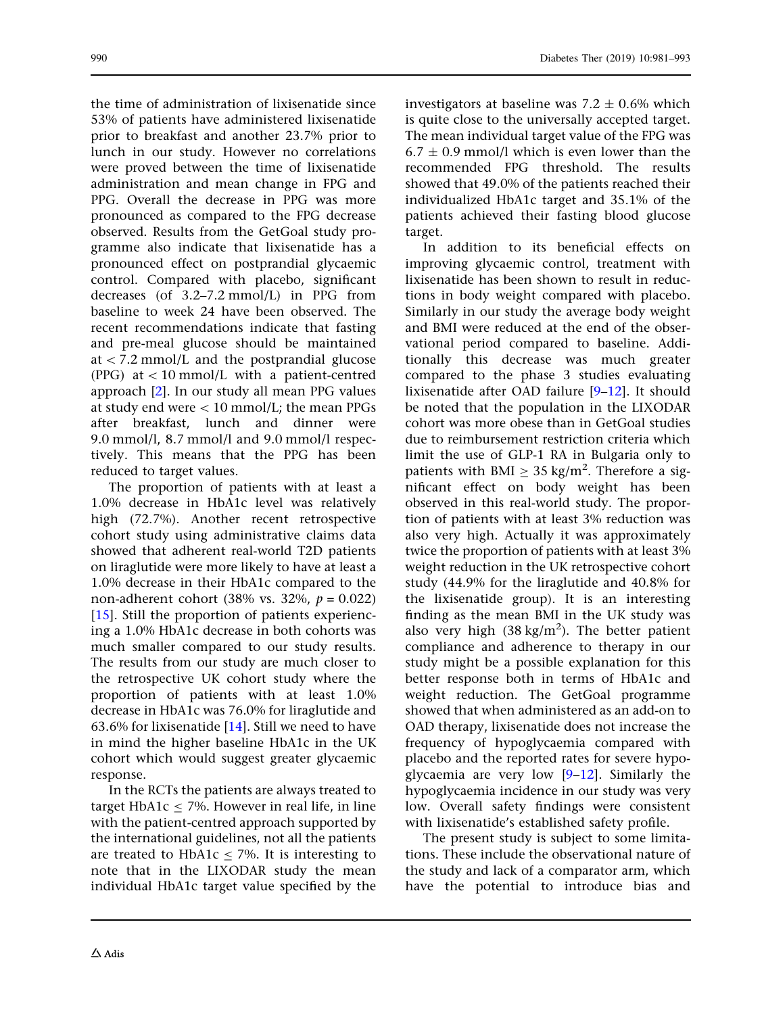the time of administration of lixisenatide since 53% of patients have administered lixisenatide prior to breakfast and another 23.7% prior to lunch in our study. However no correlations were proved between the time of lixisenatide administration and mean change in FPG and PPG. Overall the decrease in PPG was more pronounced as compared to the FPG decrease observed. Results from the GetGoal study programme also indicate that lixisenatide has a pronounced effect on postprandial glycaemic control. Compared with placebo, significant decreases (of 3.2–7.2 mmol/L) in PPG from baseline to week 24 have been observed. The recent recommendations indicate that fasting and pre-meal glucose should be maintained at  $\langle 7.2 \text{ mmol/L}$  and the postprandial glucose (PPG) at  $\lt 10$  mmol/L with a patient-centred approach [[2\]](#page-11-0). In our study all mean PPG values at study end were  $< 10$  mmol/L; the mean PPGs after breakfast, lunch and dinner were 9.0 mmol/l, 8.7 mmol/l and 9.0 mmol/l respectively. This means that the PPG has been reduced to target values.

The proportion of patients with at least a 1.0% decrease in HbA1c level was relatively high (72.7%). Another recent retrospective cohort study using administrative claims data showed that adherent real-world T2D patients on liraglutide were more likely to have at least a 1.0% decrease in their HbA1c compared to the non-adherent cohort (38% vs. 32%,  $p = 0.022$ ) [\[15\]](#page-12-0). Still the proportion of patients experiencing a 1.0% HbA1c decrease in both cohorts was much smaller compared to our study results. The results from our study are much closer to the retrospective UK cohort study where the proportion of patients with at least 1.0% decrease in HbA1c was 76.0% for liraglutide and 63.6% for lixisenatide [[14](#page-12-0)]. Still we need to have in mind the higher baseline HbA1c in the UK cohort which would suggest greater glycaemic response.

In the RCTs the patients are always treated to target  $HbA1c < 7%$ . However in real life, in line with the patient-centred approach supported by the international guidelines, not all the patients are treated to  $HbA1c < 7%$ . It is interesting to note that in the LIXODAR study the mean individual HbA1c target value specified by the

investigators at baseline was  $7.2 \pm 0.6\%$  which is quite close to the universally accepted target. The mean individual target value of the FPG was  $6.7 \pm 0.9$  mmol/l which is even lower than the recommended FPG threshold. The results showed that 49.0% of the patients reached their individualized HbA1c target and 35.1% of the patients achieved their fasting blood glucose target.

In addition to its beneficial effects on improving glycaemic control, treatment with lixisenatide has been shown to result in reductions in body weight compared with placebo. Similarly in our study the average body weight and BMI were reduced at the end of the observational period compared to baseline. Additionally this decrease was much greater compared to the phase 3 studies evaluating lixisenatide after OAD failure [[9–12](#page-11-0)]. It should be noted that the population in the LIXODAR cohort was more obese than in GetGoal studies due to reimbursement restriction criteria which limit the use of GLP-1 RA in Bulgaria only to patients with BMI  $\geq 35$  kg/m<sup>2</sup>. Therefore a significant effect on body weight has been observed in this real-world study. The proportion of patients with at least 3% reduction was also very high. Actually it was approximately twice the proportion of patients with at least 3% weight reduction in the UK retrospective cohort study (44.9% for the liraglutide and 40.8% for the lixisenatide group). It is an interesting finding as the mean BMI in the UK study was also very high  $(38 \text{ kg/m}^2)$ . The better patient compliance and adherence to therapy in our study might be a possible explanation for this better response both in terms of HbA1c and weight reduction. The GetGoal programme showed that when administered as an add-on to OAD therapy, lixisenatide does not increase the frequency of hypoglycaemia compared with placebo and the reported rates for severe hypoglycaemia are very low [\[9–12](#page-11-0)]. Similarly the hypoglycaemia incidence in our study was very low. Overall safety findings were consistent with lixisenatide's established safety profile.

The present study is subject to some limitations. These include the observational nature of the study and lack of a comparator arm, which have the potential to introduce bias and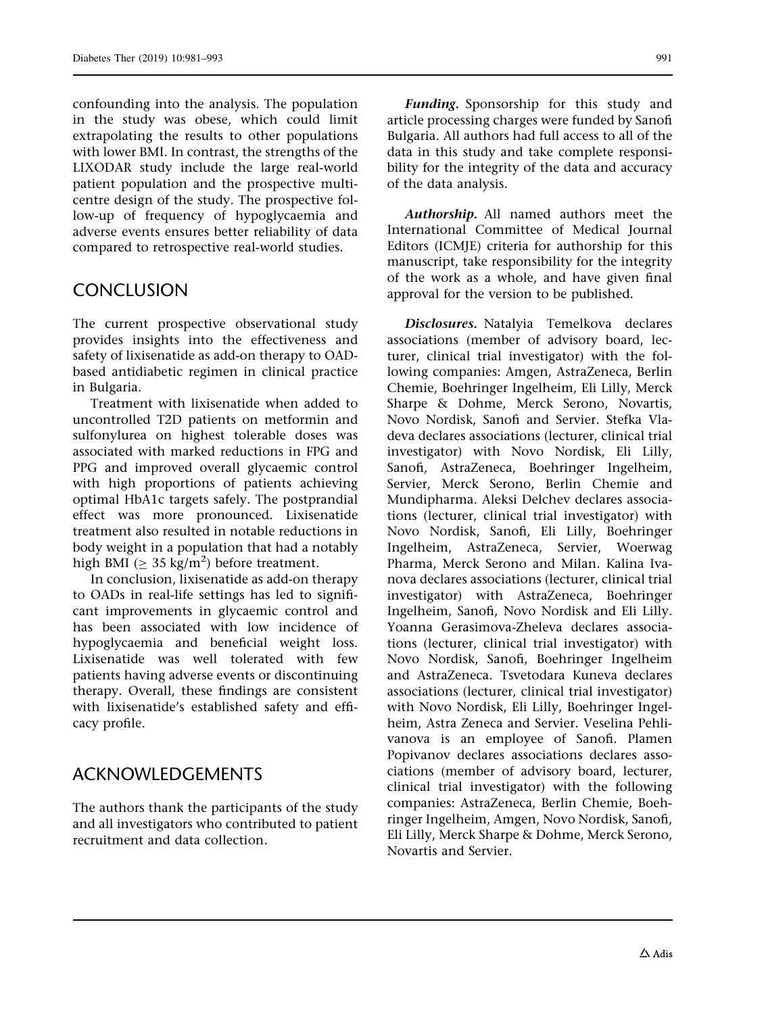confounding into the analysis. The population in the study was obese, which could limit extrapolating the results to other populations with lower BMI. In contrast, the strengths of the LIXODAR study include the large real-world patient population and the prospective multicentre design of the study. The prospective follow-up of frequency of hypoglycaemia and adverse events ensures better reliability of data compared to retrospective real-world studies.

# **CONCLUSION**

The current prospective observational study provides insights into the effectiveness and safety of lixisenatide as add-on therapy to OADbased antidiabetic regimen in clinical practice in Bulgaria.

Treatment with lixisenatide when added to uncontrolled T2D patients on metformin and sulfonylurea on highest tolerable doses was associated with marked reductions in FPG and PPG and improved overall glycaemic control with high proportions of patients achieving optimal HbA1c targets safely. The postprandial effect was more pronounced. Lixisenatide treatment also resulted in notable reductions in body weight in a population that had a notably high BMI ( $\geq 35$  kg/m<sup>2</sup>) before treatment.

In conclusion, lixisenatide as add-on therapy to OADs in real-life settings has led to significant improvements in glycaemic control and has been associated with low incidence of hypoglycaemia and beneficial weight loss. Lixisenatide was well tolerated with few patients having adverse events or discontinuing therapy. Overall, these findings are consistent with lixisenatide's established safety and efficacy profile.

# ACKNOWLEDGEMENTS

The authors thank the participants of the study and all investigators who contributed to patient recruitment and data collection.

Funding. Sponsorship for this study and article processing charges were funded by Sanofi Bulgaria. All authors had full access to all of the data in this study and take complete responsibility for the integrity of the data and accuracy of the data analysis.

Authorship. All named authors meet the International Committee of Medical Journal Editors (ICMJE) criteria for authorship for this manuscript, take responsibility for the integrity of the work as a whole, and have given final approval for the version to be published.

Disclosures. Natalyia Temelkova declares associations (member of advisory board, lecturer, clinical trial investigator) with the following companies: Amgen, AstraZeneca, Berlin Chemie, Boehringer Ingelheim, Eli Lilly, Merck Sharpe & Dohme, Merck Serono, Novartis, Novo Nordisk, Sanofi and Servier. Stefka Vladeva declares associations (lecturer, clinical trial investigator) with Novo Nordisk, Eli Lilly, Sanofi, AstraZeneca, Boehringer Ingelheim, Servier, Merck Serono, Berlin Chemie and Mundipharma. Aleksi Delchev declares associations (lecturer, clinical trial investigator) with Novo Nordisk, Sanofi, Eli Lilly, Boehringer Ingelheim, AstraZeneca, Servier, Woerwag Pharma, Merck Serono and Milan. Kalina Ivanova declares associations (lecturer, clinical trial investigator) with AstraZeneca, Boehringer Ingelheim, Sanofi, Novo Nordisk and Eli Lilly. Yoanna Gerasimova-Zheleva declares associations (lecturer, clinical trial investigator) with Novo Nordisk, Sanofi, Boehringer Ingelheim and AstraZeneca. Tsvetodara Kuneva declares associations (lecturer, clinical trial investigator) with Novo Nordisk, Eli Lilly, Boehringer Ingelheim, Astra Zeneca and Servier. Veselina Pehlivanova is an employee of Sanofi. Plamen Popivanov declares associations declares associations (member of advisory board, lecturer, clinical trial investigator) with the following companies: AstraZeneca, Berlin Chemie, Boehringer Ingelheim, Amgen, Novo Nordisk, Sanofi, Eli Lilly, Merck Sharpe & Dohme, Merck Serono, Novartis and Servier.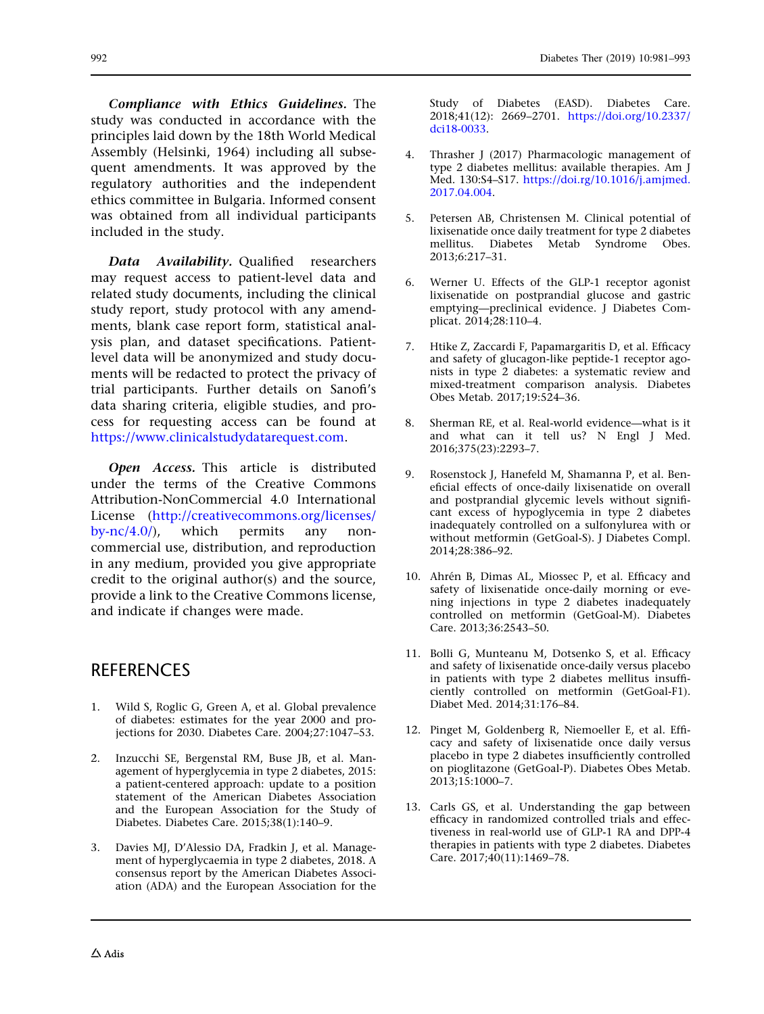Compliance with Ethics Guidelines. The study was conducted in accordance with the principles laid down by the 18th World Medical Assembly (Helsinki, 1964) including all subsequent amendments. It was approved by the

regulatory authorities and the independent ethics committee in Bulgaria. Informed consent was obtained from all individual participants included in the study.

Data Availability. Qualified researchers may request access to patient-level data and related study documents, including the clinical study report, study protocol with any amendments, blank case report form, statistical analysis plan, and dataset specifications. Patientlevel data will be anonymized and study documents will be redacted to protect the privacy of trial participants. Further details on Sanofi's data sharing criteria, eligible studies, and process for requesting access can be found at [https://www.clinicalstudydatarequest.com.](https://www.clinicalstudydatarequest.com)

Open Access. This article is distributed under the terms of the Creative Commons Attribution-NonCommercial 4.0 International License ([http://creativecommons.org/licenses/](http://creativecommons.org/licenses/by-nc/4.0/) [by-nc/4.0/\)](http://creativecommons.org/licenses/by-nc/4.0/), which permits any noncommercial use, distribution, and reproduction in any medium, provided you give appropriate credit to the original author(s) and the source, provide a link to the Creative Commons license, and indicate if changes were made.

# REFERENCES

- 1. Wild S, Roglic G, Green A, et al. Global prevalence of diabetes: estimates for the year 2000 and projections for 2030. Diabetes Care. 2004;27:1047–53.
- 2. Inzucchi SE, Bergenstal RM, Buse JB, et al. Management of hyperglycemia in type 2 diabetes, 2015: a patient-centered approach: update to a position statement of the American Diabetes Association and the European Association for the Study of Diabetes. Diabetes Care. 2015;38(1):140–9.
- 3. Davies MJ, D'Alessio DA, Fradkin J, et al. Management of hyperglycaemia in type 2 diabetes, 2018. A consensus report by the American Diabetes Association (ADA) and the European Association for the

<span id="page-11-0"></span>992 Diabetes Ther (2019) 10:981–993

Study of Diabetes (EASD). Diabetes Care. 2018;41(12): 2669–2701. [https://doi.org/10.2337/](https://doi.org/10.2337/dci18-0033) [dci18-0033](https://doi.org/10.2337/dci18-0033).

- 4. Thrasher J (2017) Pharmacologic management of type 2 diabetes mellitus: available therapies. Am J Med. 130:S4–S17. [https://doi.rg/10.1016/j.amjmed.](https://doi.rg/10.1016/j.amjmed.2017.04.004) [2017.04.004.](https://doi.rg/10.1016/j.amjmed.2017.04.004)
- 5. Petersen AB, Christensen M. Clinical potential of lixisenatide once daily treatment for type 2 diabetes mellitus. Diabetes Metab Syndrome Obes. 2013;6:217–31.
- 6. Werner U. Effects of the GLP-1 receptor agonist lixisenatide on postprandial glucose and gastric emptying—preclinical evidence. J Diabetes Complicat. 2014;28:110–4.
- 7. Htike Z, Zaccardi F, Papamargaritis D, et al. Efficacy and safety of glucagon-like peptide-1 receptor agonists in type 2 diabetes: a systematic review and mixed-treatment comparison analysis. Diabetes Obes Metab. 2017;19:524–36.
- 8. Sherman RE, et al. Real-world evidence—what is it and what can it tell us? N Engl J Med. 2016;375(23):2293–7.
- 9. Rosenstock J, Hanefeld M, Shamanna P, et al. Beneficial effects of once-daily lixisenatide on overall and postprandial glycemic levels without significant excess of hypoglycemia in type 2 diabetes inadequately controlled on a sulfonylurea with or without metformin (GetGoal-S). J Diabetes Compl. 2014;28:386–92.
- 10. Ahrén B, Dimas AL, Miossec P, et al. Efficacy and safety of lixisenatide once-daily morning or evening injections in type 2 diabetes inadequately controlled on metformin (GetGoal-M). Diabetes Care. 2013;36:2543–50.
- 11. Bolli G, Munteanu M, Dotsenko S, et al. Efficacy and safety of lixisenatide once-daily versus placebo in patients with type 2 diabetes mellitus insufficiently controlled on metformin (GetGoal-F1). Diabet Med. 2014;31:176–84.
- 12. Pinget M, Goldenberg R, Niemoeller E, et al. Efficacy and safety of lixisenatide once daily versus placebo in type 2 diabetes insufficiently controlled on pioglitazone (GetGoal-P). Diabetes Obes Metab. 2013;15:1000–7.
- 13. Carls GS, et al. Understanding the gap between efficacy in randomized controlled trials and effectiveness in real-world use of GLP-1 RA and DPP-4 therapies in patients with type 2 diabetes. Diabetes Care. 2017;40(11):1469–78.